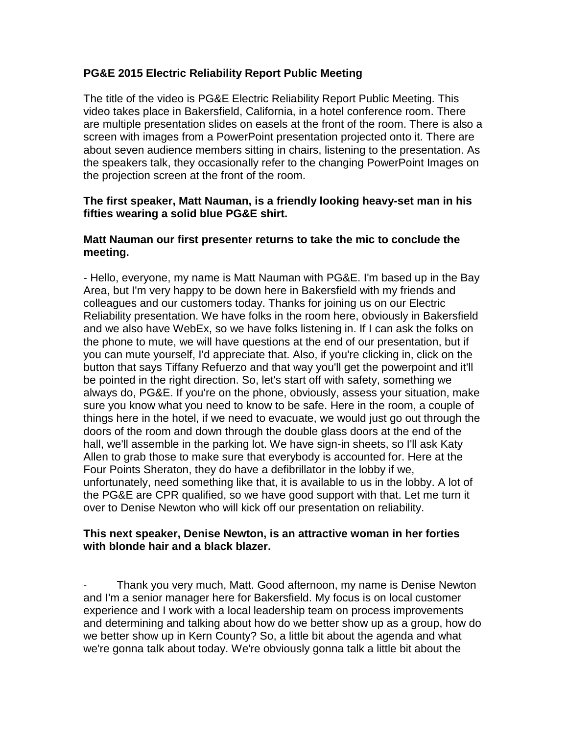# **PG&E 2015 Electric Reliability Report Public Meeting**

The title of the video is PG&E Electric Reliability Report Public Meeting. This video takes place in Bakersfield, California, in a hotel conference room. There are multiple presentation slides on easels at the front of the room. There is also a screen with images from a PowerPoint presentation projected onto it. There are about seven audience members sitting in chairs, listening to the presentation. As the speakers talk, they occasionally refer to the changing PowerPoint Images on the projection screen at the front of the room.

### **The first speaker, Matt Nauman, is a friendly looking heavy-set man in his fifties wearing a solid blue PG&E shirt.**

## **Matt Nauman our first presenter returns to take the mic to conclude the meeting.**

- Hello, everyone, my name is Matt Nauman with PG&E. I'm based up in the Bay Area, but I'm very happy to be down here in Bakersfield with my friends and colleagues and our customers today. Thanks for joining us on our Electric Reliability presentation. We have folks in the room here, obviously in Bakersfield and we also have WebEx, so we have folks listening in. If I can ask the folks on the phone to mute, we will have questions at the end of our presentation, but if you can mute yourself, I'd appreciate that. Also, if you're clicking in, click on the button that says Tiffany Refuerzo and that way you'll get the powerpoint and it'll be pointed in the right direction. So, let's start off with safety, something we always do, PG&E. If you're on the phone, obviously, assess your situation, make sure you know what you need to know to be safe. Here in the room, a couple of things here in the hotel, if we need to evacuate, we would just go out through the doors of the room and down through the double glass doors at the end of the hall, we'll assemble in the parking lot. We have sign-in sheets, so I'll ask Katy Allen to grab those to make sure that everybody is accounted for. Here at the Four Points Sheraton, they do have a defibrillator in the lobby if we, unfortunately, need something like that, it is available to us in the lobby. A lot of the PG&E are CPR qualified, so we have good support with that. Let me turn it over to Denise Newton who will kick off our presentation on reliability.

## **This next speaker, Denise Newton, is an attractive woman in her forties with blonde hair and a black blazer.**

Thank you very much, Matt. Good afternoon, my name is Denise Newton and I'm a senior manager here for Bakersfield. My focus is on local customer experience and I work with a local leadership team on process improvements and determining and talking about how do we better show up as a group, how do we better show up in Kern County? So, a little bit about the agenda and what we're gonna talk about today. We're obviously gonna talk a little bit about the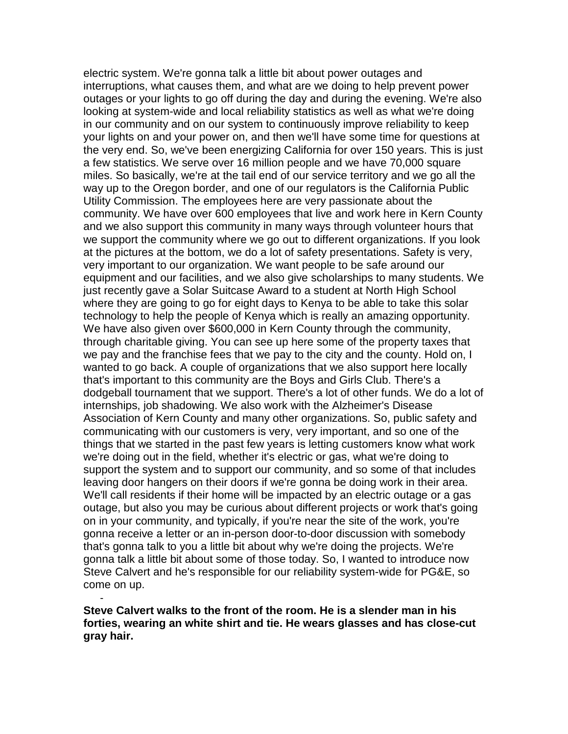electric system. We're gonna talk a little bit about power outages and interruptions, what causes them, and what are we doing to help prevent power outages or your lights to go off during the day and during the evening. We're also looking at system-wide and local reliability statistics as well as what we're doing in our community and on our system to continuously improve reliability to keep your lights on and your power on, and then we'll have some time for questions at the very end. So, we've been energizing California for over 150 years. This is just a few statistics. We serve over 16 million people and we have 70,000 square miles. So basically, we're at the tail end of our service territory and we go all the way up to the Oregon border, and one of our regulators is the California Public Utility Commission. The employees here are very passionate about the community. We have over 600 employees that live and work here in Kern County and we also support this community in many ways through volunteer hours that we support the community where we go out to different organizations. If you look at the pictures at the bottom, we do a lot of safety presentations. Safety is very, very important to our organization. We want people to be safe around our equipment and our facilities, and we also give scholarships to many students. We just recently gave a Solar Suitcase Award to a student at North High School where they are going to go for eight days to Kenya to be able to take this solar technology to help the people of Kenya which is really an amazing opportunity. We have also given over \$600,000 in Kern County through the community, through charitable giving. You can see up here some of the property taxes that we pay and the franchise fees that we pay to the city and the county. Hold on, I wanted to go back. A couple of organizations that we also support here locally that's important to this community are the Boys and Girls Club. There's a dodgeball tournament that we support. There's a lot of other funds. We do a lot of internships, job shadowing. We also work with the Alzheimer's Disease Association of Kern County and many other organizations. So, public safety and communicating with our customers is very, very important, and so one of the things that we started in the past few years is letting customers know what work we're doing out in the field, whether it's electric or gas, what we're doing to support the system and to support our community, and so some of that includes leaving door hangers on their doors if we're gonna be doing work in their area. We'll call residents if their home will be impacted by an electric outage or a gas outage, but also you may be curious about different projects or work that's going on in your community, and typically, if you're near the site of the work, you're gonna receive a letter or an in-person door-to-door discussion with somebody that's gonna talk to you a little bit about why we're doing the projects. We're gonna talk a little bit about some of those today. So, I wanted to introduce now Steve Calvert and he's responsible for our reliability system-wide for PG&E, so come on up.

- **Steve Calvert walks to the front of the room. He is a slender man in his forties, wearing an white shirt and tie. He wears glasses and has close-cut gray hair.**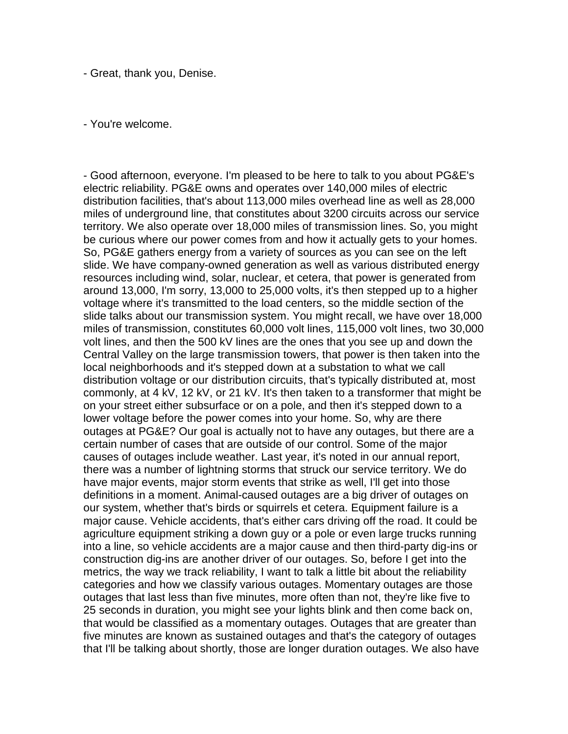- Great, thank you, Denise.

- You're welcome.

- Good afternoon, everyone. I'm pleased to be here to talk to you about PG&E's electric reliability. PG&E owns and operates over 140,000 miles of electric distribution facilities, that's about 113,000 miles overhead line as well as 28,000 miles of underground line, that constitutes about 3200 circuits across our service territory. We also operate over 18,000 miles of transmission lines. So, you might be curious where our power comes from and how it actually gets to your homes. So, PG&E gathers energy from a variety of sources as you can see on the left slide. We have company-owned generation as well as various distributed energy resources including wind, solar, nuclear, et cetera, that power is generated from around 13,000, I'm sorry, 13,000 to 25,000 volts, it's then stepped up to a higher voltage where it's transmitted to the load centers, so the middle section of the slide talks about our transmission system. You might recall, we have over 18,000 miles of transmission, constitutes 60,000 volt lines, 115,000 volt lines, two 30,000 volt lines, and then the 500 kV lines are the ones that you see up and down the Central Valley on the large transmission towers, that power is then taken into the local neighborhoods and it's stepped down at a substation to what we call distribution voltage or our distribution circuits, that's typically distributed at, most commonly, at 4 kV, 12 kV, or 21 kV. It's then taken to a transformer that might be on your street either subsurface or on a pole, and then it's stepped down to a lower voltage before the power comes into your home. So, why are there outages at PG&E? Our goal is actually not to have any outages, but there are a certain number of cases that are outside of our control. Some of the major causes of outages include weather. Last year, it's noted in our annual report, there was a number of lightning storms that struck our service territory. We do have major events, major storm events that strike as well, I'll get into those definitions in a moment. Animal-caused outages are a big driver of outages on our system, whether that's birds or squirrels et cetera. Equipment failure is a major cause. Vehicle accidents, that's either cars driving off the road. It could be agriculture equipment striking a down guy or a pole or even large trucks running into a line, so vehicle accidents are a major cause and then third-party dig-ins or construction dig-ins are another driver of our outages. So, before I get into the metrics, the way we track reliability, I want to talk a little bit about the reliability categories and how we classify various outages. Momentary outages are those outages that last less than five minutes, more often than not, they're like five to 25 seconds in duration, you might see your lights blink and then come back on, that would be classified as a momentary outages. Outages that are greater than five minutes are known as sustained outages and that's the category of outages that I'll be talking about shortly, those are longer duration outages. We also have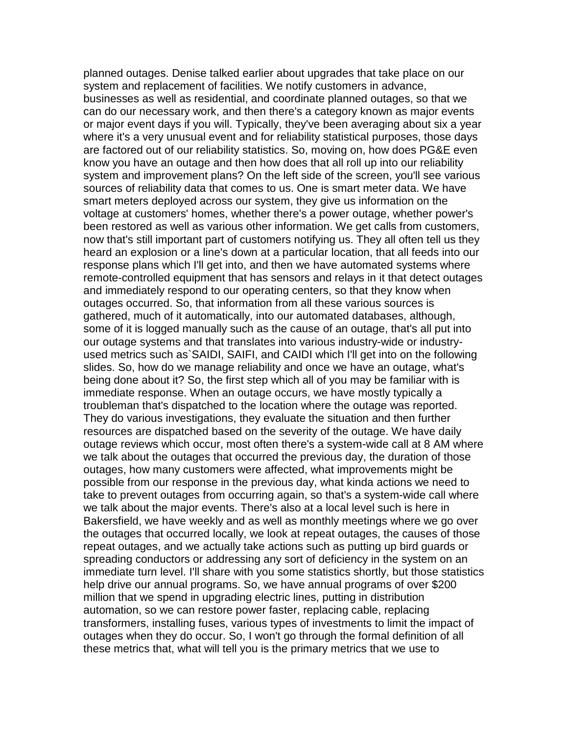planned outages. Denise talked earlier about upgrades that take place on our system and replacement of facilities. We notify customers in advance, businesses as well as residential, and coordinate planned outages, so that we can do our necessary work, and then there's a category known as major events or major event days if you will. Typically, they've been averaging about six a year where it's a very unusual event and for reliability statistical purposes, those days are factored out of our reliability statistics. So, moving on, how does PG&E even know you have an outage and then how does that all roll up into our reliability system and improvement plans? On the left side of the screen, you'll see various sources of reliability data that comes to us. One is smart meter data. We have smart meters deployed across our system, they give us information on the voltage at customers' homes, whether there's a power outage, whether power's been restored as well as various other information. We get calls from customers, now that's still important part of customers notifying us. They all often tell us they heard an explosion or a line's down at a particular location, that all feeds into our response plans which I'll get into, and then we have automated systems where remote-controlled equipment that has sensors and relays in it that detect outages and immediately respond to our operating centers, so that they know when outages occurred. So, that information from all these various sources is gathered, much of it automatically, into our automated databases, although, some of it is logged manually such as the cause of an outage, that's all put into our outage systems and that translates into various industry-wide or industryused metrics such as`SAIDI, SAIFI, and CAIDI which I'll get into on the following slides. So, how do we manage reliability and once we have an outage, what's being done about it? So, the first step which all of you may be familiar with is immediate response. When an outage occurs, we have mostly typically a troubleman that's dispatched to the location where the outage was reported. They do various investigations, they evaluate the situation and then further resources are dispatched based on the severity of the outage. We have daily outage reviews which occur, most often there's a system-wide call at 8 AM where we talk about the outages that occurred the previous day, the duration of those outages, how many customers were affected, what improvements might be possible from our response in the previous day, what kinda actions we need to take to prevent outages from occurring again, so that's a system-wide call where we talk about the major events. There's also at a local level such is here in Bakersfield, we have weekly and as well as monthly meetings where we go over the outages that occurred locally, we look at repeat outages, the causes of those repeat outages, and we actually take actions such as putting up bird guards or spreading conductors or addressing any sort of deficiency in the system on an immediate turn level. I'll share with you some statistics shortly, but those statistics help drive our annual programs. So, we have annual programs of over \$200 million that we spend in upgrading electric lines, putting in distribution automation, so we can restore power faster, replacing cable, replacing transformers, installing fuses, various types of investments to limit the impact of outages when they do occur. So, I won't go through the formal definition of all these metrics that, what will tell you is the primary metrics that we use to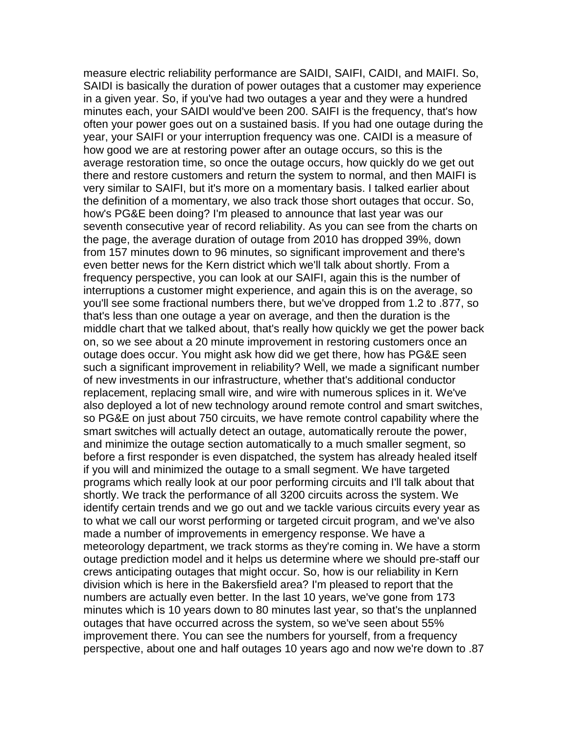measure electric reliability performance are SAIDI, SAIFI, CAIDI, and MAIFI. So, SAIDI is basically the duration of power outages that a customer may experience in a given year. So, if you've had two outages a year and they were a hundred minutes each, your SAIDI would've been 200. SAIFI is the frequency, that's how often your power goes out on a sustained basis. If you had one outage during the year, your SAIFI or your interruption frequency was one. CAIDI is a measure of how good we are at restoring power after an outage occurs, so this is the average restoration time, so once the outage occurs, how quickly do we get out there and restore customers and return the system to normal, and then MAIFI is very similar to SAIFI, but it's more on a momentary basis. I talked earlier about the definition of a momentary, we also track those short outages that occur. So, how's PG&E been doing? I'm pleased to announce that last year was our seventh consecutive year of record reliability. As you can see from the charts on the page, the average duration of outage from 2010 has dropped 39%, down from 157 minutes down to 96 minutes, so significant improvement and there's even better news for the Kern district which we'll talk about shortly. From a frequency perspective, you can look at our SAIFI, again this is the number of interruptions a customer might experience, and again this is on the average, so you'll see some fractional numbers there, but we've dropped from 1.2 to .877, so that's less than one outage a year on average, and then the duration is the middle chart that we talked about, that's really how quickly we get the power back on, so we see about a 20 minute improvement in restoring customers once an outage does occur. You might ask how did we get there, how has PG&E seen such a significant improvement in reliability? Well, we made a significant number of new investments in our infrastructure, whether that's additional conductor replacement, replacing small wire, and wire with numerous splices in it. We've also deployed a lot of new technology around remote control and smart switches, so PG&E on just about 750 circuits, we have remote control capability where the smart switches will actually detect an outage, automatically reroute the power, and minimize the outage section automatically to a much smaller segment, so before a first responder is even dispatched, the system has already healed itself if you will and minimized the outage to a small segment. We have targeted programs which really look at our poor performing circuits and I'll talk about that shortly. We track the performance of all 3200 circuits across the system. We identify certain trends and we go out and we tackle various circuits every year as to what we call our worst performing or targeted circuit program, and we've also made a number of improvements in emergency response. We have a meteorology department, we track storms as they're coming in. We have a storm outage prediction model and it helps us determine where we should pre-staff our crews anticipating outages that might occur. So, how is our reliability in Kern division which is here in the Bakersfield area? I'm pleased to report that the numbers are actually even better. In the last 10 years, we've gone from 173 minutes which is 10 years down to 80 minutes last year, so that's the unplanned outages that have occurred across the system, so we've seen about 55% improvement there. You can see the numbers for yourself, from a frequency perspective, about one and half outages 10 years ago and now we're down to .87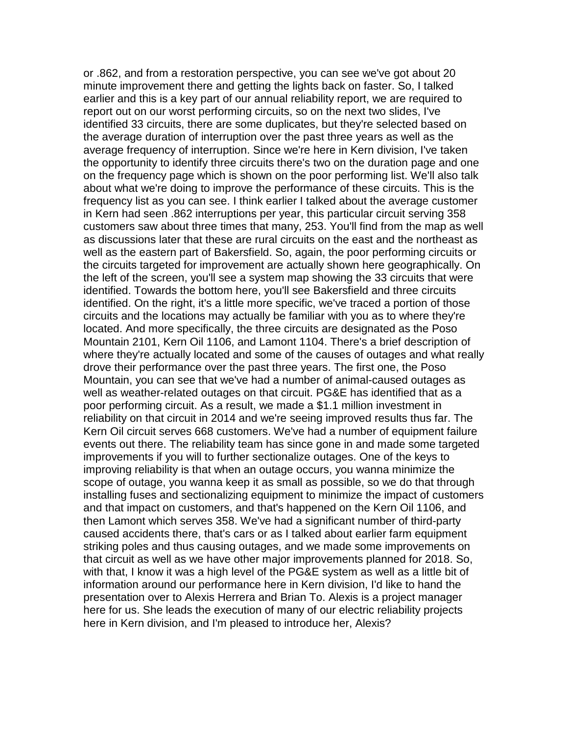or .862, and from a restoration perspective, you can see we've got about 20 minute improvement there and getting the lights back on faster. So, I talked earlier and this is a key part of our annual reliability report, we are required to report out on our worst performing circuits, so on the next two slides, I've identified 33 circuits, there are some duplicates, but they're selected based on the average duration of interruption over the past three years as well as the average frequency of interruption. Since we're here in Kern division, I've taken the opportunity to identify three circuits there's two on the duration page and one on the frequency page which is shown on the poor performing list. We'll also talk about what we're doing to improve the performance of these circuits. This is the frequency list as you can see. I think earlier I talked about the average customer in Kern had seen .862 interruptions per year, this particular circuit serving 358 customers saw about three times that many, 253. You'll find from the map as well as discussions later that these are rural circuits on the east and the northeast as well as the eastern part of Bakersfield. So, again, the poor performing circuits or the circuits targeted for improvement are actually shown here geographically. On the left of the screen, you'll see a system map showing the 33 circuits that were identified. Towards the bottom here, you'll see Bakersfield and three circuits identified. On the right, it's a little more specific, we've traced a portion of those circuits and the locations may actually be familiar with you as to where they're located. And more specifically, the three circuits are designated as the Poso Mountain 2101, Kern Oil 1106, and Lamont 1104. There's a brief description of where they're actually located and some of the causes of outages and what really drove their performance over the past three years. The first one, the Poso Mountain, you can see that we've had a number of animal-caused outages as well as weather-related outages on that circuit. PG&E has identified that as a poor performing circuit. As a result, we made a \$1.1 million investment in reliability on that circuit in 2014 and we're seeing improved results thus far. The Kern Oil circuit serves 668 customers. We've had a number of equipment failure events out there. The reliability team has since gone in and made some targeted improvements if you will to further sectionalize outages. One of the keys to improving reliability is that when an outage occurs, you wanna minimize the scope of outage, you wanna keep it as small as possible, so we do that through installing fuses and sectionalizing equipment to minimize the impact of customers and that impact on customers, and that's happened on the Kern Oil 1106, and then Lamont which serves 358. We've had a significant number of third-party caused accidents there, that's cars or as I talked about earlier farm equipment striking poles and thus causing outages, and we made some improvements on that circuit as well as we have other major improvements planned for 2018. So, with that, I know it was a high level of the PG&E system as well as a little bit of information around our performance here in Kern division, I'd like to hand the presentation over to Alexis Herrera and Brian To. Alexis is a project manager here for us. She leads the execution of many of our electric reliability projects here in Kern division, and I'm pleased to introduce her, Alexis?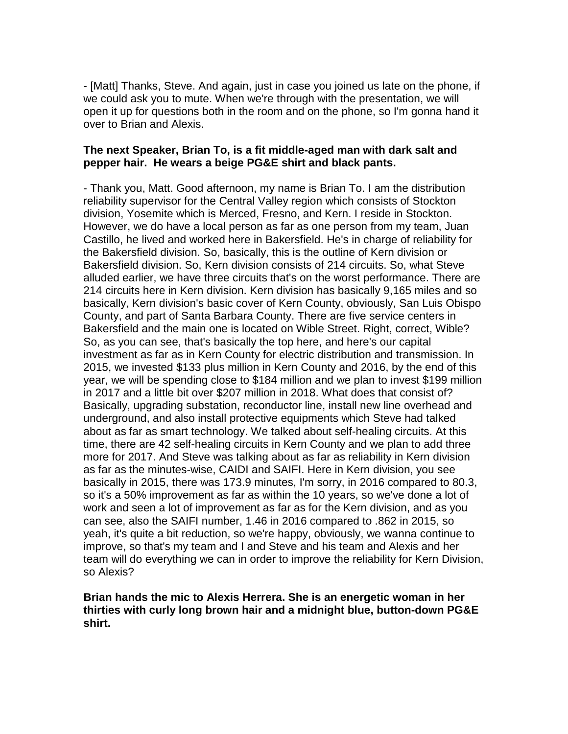- [Matt] Thanks, Steve. And again, just in case you joined us late on the phone, if we could ask you to mute. When we're through with the presentation, we will open it up for questions both in the room and on the phone, so I'm gonna hand it over to Brian and Alexis.

### **The next Speaker, Brian To, is a fit middle-aged man with dark salt and pepper hair. He wears a beige PG&E shirt and black pants.**

- Thank you, Matt. Good afternoon, my name is Brian To. I am the distribution reliability supervisor for the Central Valley region which consists of Stockton division, Yosemite which is Merced, Fresno, and Kern. I reside in Stockton. However, we do have a local person as far as one person from my team, Juan Castillo, he lived and worked here in Bakersfield. He's in charge of reliability for the Bakersfield division. So, basically, this is the outline of Kern division or Bakersfield division. So, Kern division consists of 214 circuits. So, what Steve alluded earlier, we have three circuits that's on the worst performance. There are 214 circuits here in Kern division. Kern division has basically 9,165 miles and so basically, Kern division's basic cover of Kern County, obviously, San Luis Obispo County, and part of Santa Barbara County. There are five service centers in Bakersfield and the main one is located on Wible Street. Right, correct, Wible? So, as you can see, that's basically the top here, and here's our capital investment as far as in Kern County for electric distribution and transmission. In 2015, we invested \$133 plus million in Kern County and 2016, by the end of this year, we will be spending close to \$184 million and we plan to invest \$199 million in 2017 and a little bit over \$207 million in 2018. What does that consist of? Basically, upgrading substation, reconductor line, install new line overhead and underground, and also install protective equipments which Steve had talked about as far as smart technology. We talked about self-healing circuits. At this time, there are 42 self-healing circuits in Kern County and we plan to add three more for 2017. And Steve was talking about as far as reliability in Kern division as far as the minutes-wise, CAIDI and SAIFI. Here in Kern division, you see basically in 2015, there was 173.9 minutes, I'm sorry, in 2016 compared to 80.3, so it's a 50% improvement as far as within the 10 years, so we've done a lot of work and seen a lot of improvement as far as for the Kern division, and as you can see, also the SAIFI number, 1.46 in 2016 compared to .862 in 2015, so yeah, it's quite a bit reduction, so we're happy, obviously, we wanna continue to improve, so that's my team and I and Steve and his team and Alexis and her team will do everything we can in order to improve the reliability for Kern Division, so Alexis?

### **Brian hands the mic to Alexis Herrera. She is an energetic woman in her thirties with curly long brown hair and a midnight blue, button-down PG&E shirt.**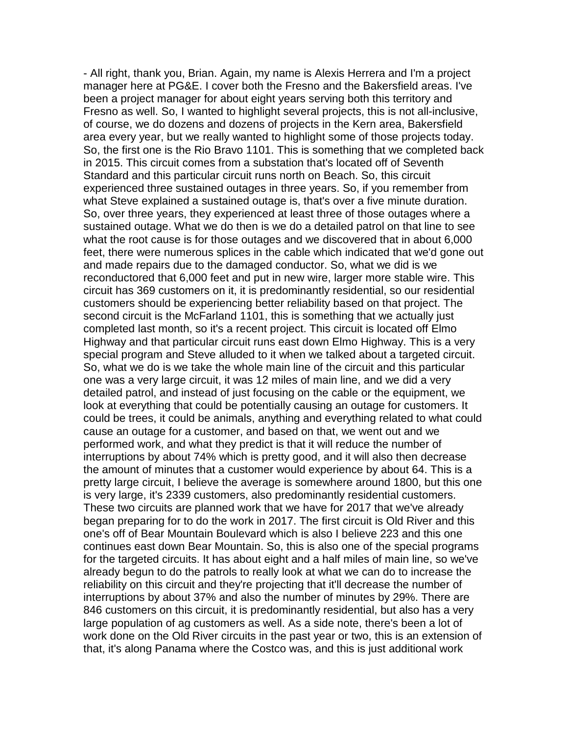- All right, thank you, Brian. Again, my name is Alexis Herrera and I'm a project manager here at PG&E. I cover both the Fresno and the Bakersfield areas. I've been a project manager for about eight years serving both this territory and Fresno as well. So, I wanted to highlight several projects, this is not all-inclusive, of course, we do dozens and dozens of projects in the Kern area, Bakersfield area every year, but we really wanted to highlight some of those projects today. So, the first one is the Rio Bravo 1101. This is something that we completed back in 2015. This circuit comes from a substation that's located off of Seventh Standard and this particular circuit runs north on Beach. So, this circuit experienced three sustained outages in three years. So, if you remember from what Steve explained a sustained outage is, that's over a five minute duration. So, over three years, they experienced at least three of those outages where a sustained outage. What we do then is we do a detailed patrol on that line to see what the root cause is for those outages and we discovered that in about 6,000 feet, there were numerous splices in the cable which indicated that we'd gone out and made repairs due to the damaged conductor. So, what we did is we reconductored that 6,000 feet and put in new wire, larger more stable wire. This circuit has 369 customers on it, it is predominantly residential, so our residential customers should be experiencing better reliability based on that project. The second circuit is the McFarland 1101, this is something that we actually just completed last month, so it's a recent project. This circuit is located off Elmo Highway and that particular circuit runs east down Elmo Highway. This is a very special program and Steve alluded to it when we talked about a targeted circuit. So, what we do is we take the whole main line of the circuit and this particular one was a very large circuit, it was 12 miles of main line, and we did a very detailed patrol, and instead of just focusing on the cable or the equipment, we look at everything that could be potentially causing an outage for customers. It could be trees, it could be animals, anything and everything related to what could cause an outage for a customer, and based on that, we went out and we performed work, and what they predict is that it will reduce the number of interruptions by about 74% which is pretty good, and it will also then decrease the amount of minutes that a customer would experience by about 64. This is a pretty large circuit, I believe the average is somewhere around 1800, but this one is very large, it's 2339 customers, also predominantly residential customers. These two circuits are planned work that we have for 2017 that we've already began preparing for to do the work in 2017. The first circuit is Old River and this one's off of Bear Mountain Boulevard which is also I believe 223 and this one continues east down Bear Mountain. So, this is also one of the special programs for the targeted circuits. It has about eight and a half miles of main line, so we've already begun to do the patrols to really look at what we can do to increase the reliability on this circuit and they're projecting that it'll decrease the number of interruptions by about 37% and also the number of minutes by 29%. There are 846 customers on this circuit, it is predominantly residential, but also has a very large population of ag customers as well. As a side note, there's been a lot of work done on the Old River circuits in the past year or two, this is an extension of that, it's along Panama where the Costco was, and this is just additional work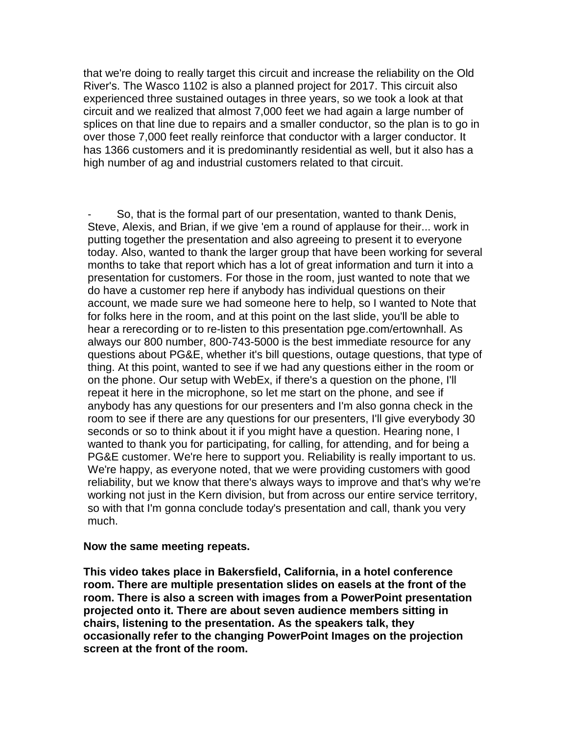that we're doing to really target this circuit and increase the reliability on the Old River's. The Wasco 1102 is also a planned project for 2017. This circuit also experienced three sustained outages in three years, so we took a look at that circuit and we realized that almost 7,000 feet we had again a large number of splices on that line due to repairs and a smaller conductor, so the plan is to go in over those 7,000 feet really reinforce that conductor with a larger conductor. It has 1366 customers and it is predominantly residential as well, but it also has a high number of ag and industrial customers related to that circuit.

So, that is the formal part of our presentation, wanted to thank Denis, Steve, Alexis, and Brian, if we give 'em a round of applause for their... work in putting together the presentation and also agreeing to present it to everyone today. Also, wanted to thank the larger group that have been working for several months to take that report which has a lot of great information and turn it into a presentation for customers. For those in the room, just wanted to note that we do have a customer rep here if anybody has individual questions on their account, we made sure we had someone here to help, so I wanted to Note that for folks here in the room, and at this point on the last slide, you'll be able to hear a rerecording or to re-listen to this presentation pge.com/ertownhall. As always our 800 number, 800-743-5000 is the best immediate resource for any questions about PG&E, whether it's bill questions, outage questions, that type of thing. At this point, wanted to see if we had any questions either in the room or on the phone. Our setup with WebEx, if there's a question on the phone, I'll repeat it here in the microphone, so let me start on the phone, and see if anybody has any questions for our presenters and I'm also gonna check in the room to see if there are any questions for our presenters, I'll give everybody 30 seconds or so to think about it if you might have a question. Hearing none, I wanted to thank you for participating, for calling, for attending, and for being a PG&E customer. We're here to support you. Reliability is really important to us. We're happy, as everyone noted, that we were providing customers with good reliability, but we know that there's always ways to improve and that's why we're working not just in the Kern division, but from across our entire service territory, so with that I'm gonna conclude today's presentation and call, thank you very much.

#### **Now the same meeting repeats.**

**This video takes place in Bakersfield, California, in a hotel conference room. There are multiple presentation slides on easels at the front of the room. There is also a screen with images from a PowerPoint presentation projected onto it. There are about seven audience members sitting in chairs, listening to the presentation. As the speakers talk, they occasionally refer to the changing PowerPoint Images on the projection screen at the front of the room.**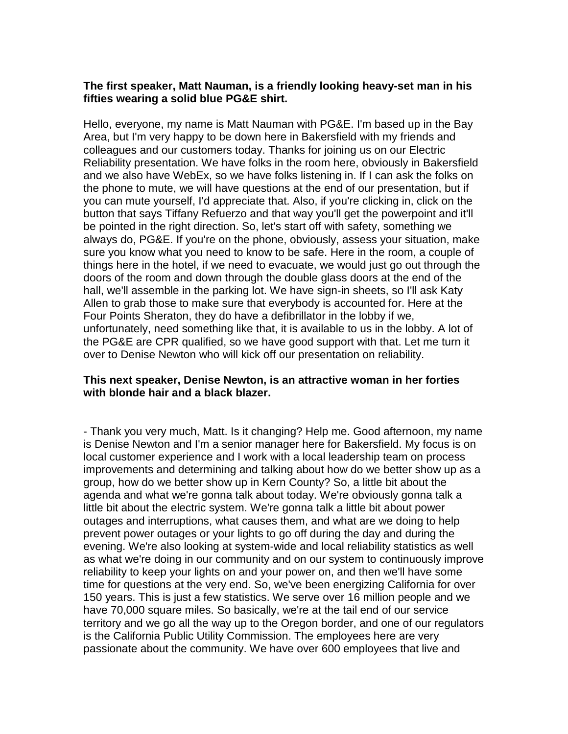## **The first speaker, Matt Nauman, is a friendly looking heavy-set man in his fifties wearing a solid blue PG&E shirt.**

Hello, everyone, my name is Matt Nauman with PG&E. I'm based up in the Bay Area, but I'm very happy to be down here in Bakersfield with my friends and colleagues and our customers today. Thanks for joining us on our Electric Reliability presentation. We have folks in the room here, obviously in Bakersfield and we also have WebEx, so we have folks listening in. If I can ask the folks on the phone to mute, we will have questions at the end of our presentation, but if you can mute yourself, I'd appreciate that. Also, if you're clicking in, click on the button that says Tiffany Refuerzo and that way you'll get the powerpoint and it'll be pointed in the right direction. So, let's start off with safety, something we always do, PG&E. If you're on the phone, obviously, assess your situation, make sure you know what you need to know to be safe. Here in the room, a couple of things here in the hotel, if we need to evacuate, we would just go out through the doors of the room and down through the double glass doors at the end of the hall, we'll assemble in the parking lot. We have sign-in sheets, so I'll ask Katy Allen to grab those to make sure that everybody is accounted for. Here at the Four Points Sheraton, they do have a defibrillator in the lobby if we, unfortunately, need something like that, it is available to us in the lobby. A lot of the PG&E are CPR qualified, so we have good support with that. Let me turn it over to Denise Newton who will kick off our presentation on reliability.

## **This next speaker, Denise Newton, is an attractive woman in her forties with blonde hair and a black blazer.**

- Thank you very much, Matt. Is it changing? Help me. Good afternoon, my name is Denise Newton and I'm a senior manager here for Bakersfield. My focus is on local customer experience and I work with a local leadership team on process improvements and determining and talking about how do we better show up as a group, how do we better show up in Kern County? So, a little bit about the agenda and what we're gonna talk about today. We're obviously gonna talk a little bit about the electric system. We're gonna talk a little bit about power outages and interruptions, what causes them, and what are we doing to help prevent power outages or your lights to go off during the day and during the evening. We're also looking at system-wide and local reliability statistics as well as what we're doing in our community and on our system to continuously improve reliability to keep your lights on and your power on, and then we'll have some time for questions at the very end. So, we've been energizing California for over 150 years. This is just a few statistics. We serve over 16 million people and we have 70,000 square miles. So basically, we're at the tail end of our service territory and we go all the way up to the Oregon border, and one of our regulators is the California Public Utility Commission. The employees here are very passionate about the community. We have over 600 employees that live and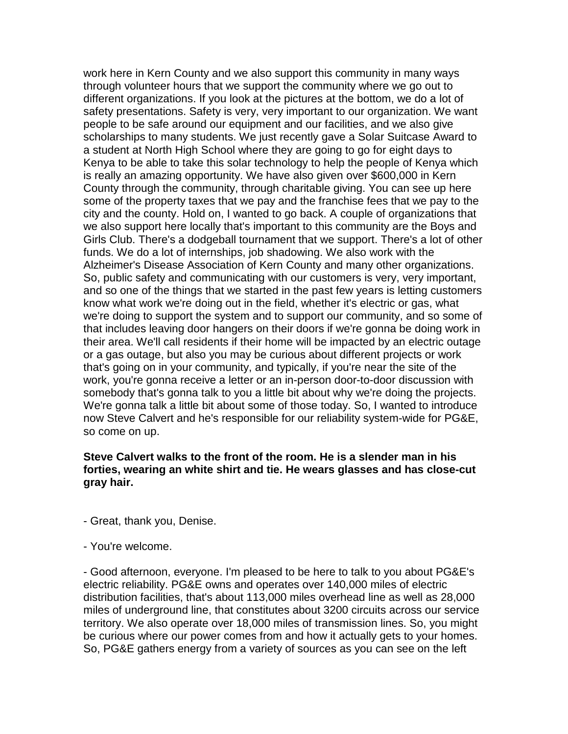work here in Kern County and we also support this community in many ways through volunteer hours that we support the community where we go out to different organizations. If you look at the pictures at the bottom, we do a lot of safety presentations. Safety is very, very important to our organization. We want people to be safe around our equipment and our facilities, and we also give scholarships to many students. We just recently gave a Solar Suitcase Award to a student at North High School where they are going to go for eight days to Kenya to be able to take this solar technology to help the people of Kenya which is really an amazing opportunity. We have also given over \$600,000 in Kern County through the community, through charitable giving. You can see up here some of the property taxes that we pay and the franchise fees that we pay to the city and the county. Hold on, I wanted to go back. A couple of organizations that we also support here locally that's important to this community are the Boys and Girls Club. There's a dodgeball tournament that we support. There's a lot of other funds. We do a lot of internships, job shadowing. We also work with the Alzheimer's Disease Association of Kern County and many other organizations. So, public safety and communicating with our customers is very, very important, and so one of the things that we started in the past few years is letting customers know what work we're doing out in the field, whether it's electric or gas, what we're doing to support the system and to support our community, and so some of that includes leaving door hangers on their doors if we're gonna be doing work in their area. We'll call residents if their home will be impacted by an electric outage or a gas outage, but also you may be curious about different projects or work that's going on in your community, and typically, if you're near the site of the work, you're gonna receive a letter or an in-person door-to-door discussion with somebody that's gonna talk to you a little bit about why we're doing the projects. We're gonna talk a little bit about some of those today. So, I wanted to introduce now Steve Calvert and he's responsible for our reliability system-wide for PG&E, so come on up.

#### **Steve Calvert walks to the front of the room. He is a slender man in his forties, wearing an white shirt and tie. He wears glasses and has close-cut gray hair.**

- Great, thank you, Denise.
- You're welcome.

- Good afternoon, everyone. I'm pleased to be here to talk to you about PG&E's electric reliability. PG&E owns and operates over 140,000 miles of electric distribution facilities, that's about 113,000 miles overhead line as well as 28,000 miles of underground line, that constitutes about 3200 circuits across our service territory. We also operate over 18,000 miles of transmission lines. So, you might be curious where our power comes from and how it actually gets to your homes. So, PG&E gathers energy from a variety of sources as you can see on the left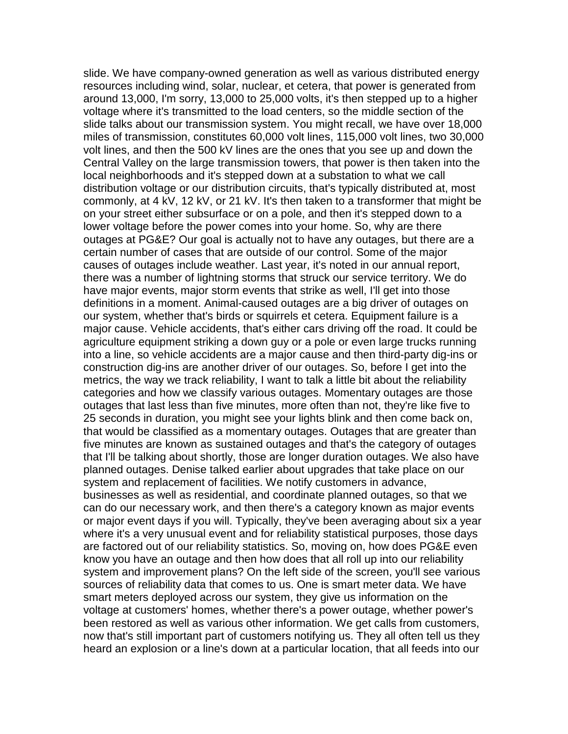slide. We have company-owned generation as well as various distributed energy resources including wind, solar, nuclear, et cetera, that power is generated from around 13,000, I'm sorry, 13,000 to 25,000 volts, it's then stepped up to a higher voltage where it's transmitted to the load centers, so the middle section of the slide talks about our transmission system. You might recall, we have over 18,000 miles of transmission, constitutes 60,000 volt lines, 115,000 volt lines, two 30,000 volt lines, and then the 500 kV lines are the ones that you see up and down the Central Valley on the large transmission towers, that power is then taken into the local neighborhoods and it's stepped down at a substation to what we call distribution voltage or our distribution circuits, that's typically distributed at, most commonly, at 4 kV, 12 kV, or 21 kV. It's then taken to a transformer that might be on your street either subsurface or on a pole, and then it's stepped down to a lower voltage before the power comes into your home. So, why are there outages at PG&E? Our goal is actually not to have any outages, but there are a certain number of cases that are outside of our control. Some of the major causes of outages include weather. Last year, it's noted in our annual report, there was a number of lightning storms that struck our service territory. We do have major events, major storm events that strike as well, I'll get into those definitions in a moment. Animal-caused outages are a big driver of outages on our system, whether that's birds or squirrels et cetera. Equipment failure is a major cause. Vehicle accidents, that's either cars driving off the road. It could be agriculture equipment striking a down guy or a pole or even large trucks running into a line, so vehicle accidents are a major cause and then third-party dig-ins or construction dig-ins are another driver of our outages. So, before I get into the metrics, the way we track reliability, I want to talk a little bit about the reliability categories and how we classify various outages. Momentary outages are those outages that last less than five minutes, more often than not, they're like five to 25 seconds in duration, you might see your lights blink and then come back on, that would be classified as a momentary outages. Outages that are greater than five minutes are known as sustained outages and that's the category of outages that I'll be talking about shortly, those are longer duration outages. We also have planned outages. Denise talked earlier about upgrades that take place on our system and replacement of facilities. We notify customers in advance, businesses as well as residential, and coordinate planned outages, so that we can do our necessary work, and then there's a category known as major events or major event days if you will. Typically, they've been averaging about six a year where it's a very unusual event and for reliability statistical purposes, those days are factored out of our reliability statistics. So, moving on, how does PG&E even know you have an outage and then how does that all roll up into our reliability system and improvement plans? On the left side of the screen, you'll see various sources of reliability data that comes to us. One is smart meter data. We have smart meters deployed across our system, they give us information on the voltage at customers' homes, whether there's a power outage, whether power's been restored as well as various other information. We get calls from customers, now that's still important part of customers notifying us. They all often tell us they heard an explosion or a line's down at a particular location, that all feeds into our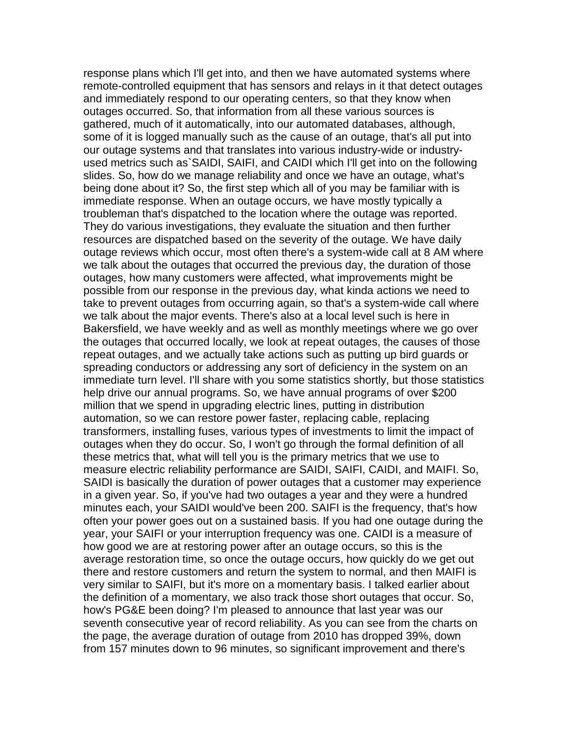response plans which I'll get into, and then we have automated systems where remote-controlled equipment that has sensors and relays in it that detect outages and immediately respond to our operating centers, so that they know when outages occurred. So, that information from all these various sources is gathered, much of it automatically, into our automated databases, although, some of it is logged manually such as the cause of an outage, that's all put into our outage systems and that translates into various industry-wide or industryused metrics such as`SAIDI, SAIFI, and CAIDI which I'll get into on the following slides. So, how do we manage reliability and once we have an outage, what's being done about it? So, the first step which all of you may be familiar with is immediate response. When an outage occurs, we have mostly typically a troubleman that's dispatched to the location where the outage was reported. They do various investigations, they evaluate the situation and then further resources are dispatched based on the severity of the outage. We have daily outage reviews which occur, most often there's a system-wide call at 8 AM where we talk about the outages that occurred the previous day, the duration of those outages, how many customers were affected, what improvements might be possible from our response in the previous day, what kinda actions we need to take to prevent outages from occurring again, so that's a system-wide call where we talk about the major events. There's also at a local level such is here in Bakersfield, we have weekly and as well as monthly meetings where we go over the outages that occurred locally, we look at repeat outages, the causes of those repeat outages, and we actually take actions such as putting up bird guards or spreading conductors or addressing any sort of deficiency in the system on an immediate turn level. I'll share with you some statistics shortly, but those statistics help drive our annual programs. So, we have annual programs of over \$200 million that we spend in upgrading electric lines, putting in distribution automation, so we can restore power faster, replacing cable, replacing transformers, installing fuses, various types of investments to limit the impact of outages when they do occur. So, I won't go through the formal definition of all these metrics that, what will tell you is the primary metrics that we use to measure electric reliability performance are SAIDI, SAIFI, CAIDI, and MAIFI. So, SAIDI is basically the duration of power outages that a customer may experience in a given year. So, if you've had two outages a year and they were a hundred minutes each, your SAIDI would've been 200. SAIFI is the frequency, that's how often your power goes out on a sustained basis. If you had one outage during the year, your SAIFI or your interruption frequency was one. CAIDI is a measure of how good we are at restoring power after an outage occurs, so this is the average restoration time, so once the outage occurs, how quickly do we get out there and restore customers and return the system to normal, and then MAIFI is very similar to SAIFI, but it's more on a momentary basis. I talked earlier about the definition of a momentary, we also track those short outages that occur. So, how's PG&E been doing? I'm pleased to announce that last year was our seventh consecutive year of record reliability. As you can see from the charts on the page, the average duration of outage from 2010 has dropped 39%, down from 157 minutes down to 96 minutes, so significant improvement and there's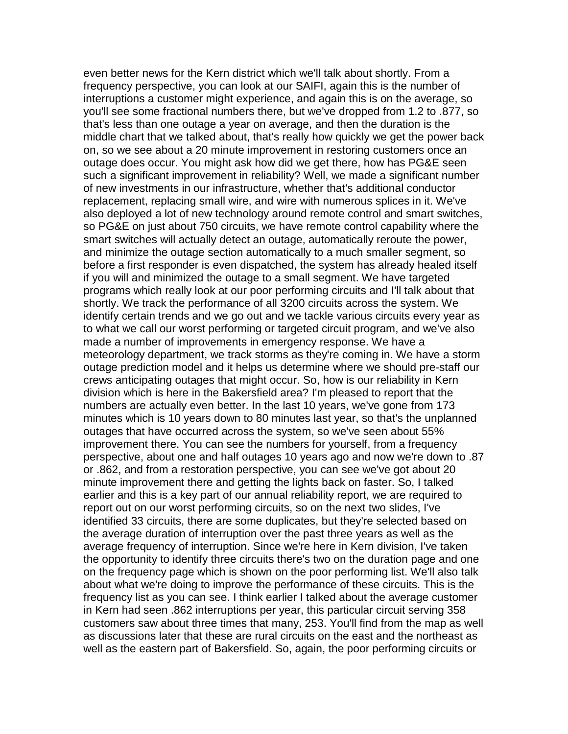even better news for the Kern district which we'll talk about shortly. From a frequency perspective, you can look at our SAIFI, again this is the number of interruptions a customer might experience, and again this is on the average, so you'll see some fractional numbers there, but we've dropped from 1.2 to .877, so that's less than one outage a year on average, and then the duration is the middle chart that we talked about, that's really how quickly we get the power back on, so we see about a 20 minute improvement in restoring customers once an outage does occur. You might ask how did we get there, how has PG&E seen such a significant improvement in reliability? Well, we made a significant number of new investments in our infrastructure, whether that's additional conductor replacement, replacing small wire, and wire with numerous splices in it. We've also deployed a lot of new technology around remote control and smart switches, so PG&E on just about 750 circuits, we have remote control capability where the smart switches will actually detect an outage, automatically reroute the power, and minimize the outage section automatically to a much smaller segment, so before a first responder is even dispatched, the system has already healed itself if you will and minimized the outage to a small segment. We have targeted programs which really look at our poor performing circuits and I'll talk about that shortly. We track the performance of all 3200 circuits across the system. We identify certain trends and we go out and we tackle various circuits every year as to what we call our worst performing or targeted circuit program, and we've also made a number of improvements in emergency response. We have a meteorology department, we track storms as they're coming in. We have a storm outage prediction model and it helps us determine where we should pre-staff our crews anticipating outages that might occur. So, how is our reliability in Kern division which is here in the Bakersfield area? I'm pleased to report that the numbers are actually even better. In the last 10 years, we've gone from 173 minutes which is 10 years down to 80 minutes last year, so that's the unplanned outages that have occurred across the system, so we've seen about 55% improvement there. You can see the numbers for yourself, from a frequency perspective, about one and half outages 10 years ago and now we're down to .87 or .862, and from a restoration perspective, you can see we've got about 20 minute improvement there and getting the lights back on faster. So, I talked earlier and this is a key part of our annual reliability report, we are required to report out on our worst performing circuits, so on the next two slides, I've identified 33 circuits, there are some duplicates, but they're selected based on the average duration of interruption over the past three years as well as the average frequency of interruption. Since we're here in Kern division, I've taken the opportunity to identify three circuits there's two on the duration page and one on the frequency page which is shown on the poor performing list. We'll also talk about what we're doing to improve the performance of these circuits. This is the frequency list as you can see. I think earlier I talked about the average customer in Kern had seen .862 interruptions per year, this particular circuit serving 358 customers saw about three times that many, 253. You'll find from the map as well as discussions later that these are rural circuits on the east and the northeast as well as the eastern part of Bakersfield. So, again, the poor performing circuits or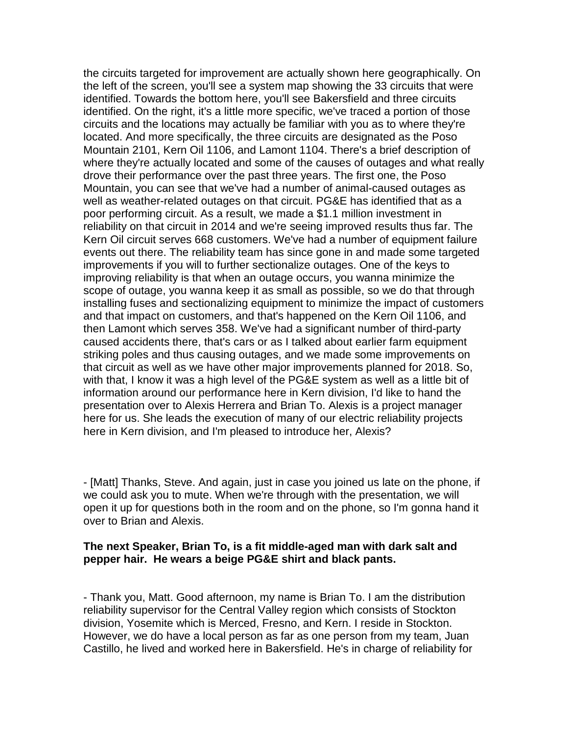the circuits targeted for improvement are actually shown here geographically. On the left of the screen, you'll see a system map showing the 33 circuits that were identified. Towards the bottom here, you'll see Bakersfield and three circuits identified. On the right, it's a little more specific, we've traced a portion of those circuits and the locations may actually be familiar with you as to where they're located. And more specifically, the three circuits are designated as the Poso Mountain 2101, Kern Oil 1106, and Lamont 1104. There's a brief description of where they're actually located and some of the causes of outages and what really drove their performance over the past three years. The first one, the Poso Mountain, you can see that we've had a number of animal-caused outages as well as weather-related outages on that circuit. PG&E has identified that as a poor performing circuit. As a result, we made a \$1.1 million investment in reliability on that circuit in 2014 and we're seeing improved results thus far. The Kern Oil circuit serves 668 customers. We've had a number of equipment failure events out there. The reliability team has since gone in and made some targeted improvements if you will to further sectionalize outages. One of the keys to improving reliability is that when an outage occurs, you wanna minimize the scope of outage, you wanna keep it as small as possible, so we do that through installing fuses and sectionalizing equipment to minimize the impact of customers and that impact on customers, and that's happened on the Kern Oil 1106, and then Lamont which serves 358. We've had a significant number of third-party caused accidents there, that's cars or as I talked about earlier farm equipment striking poles and thus causing outages, and we made some improvements on that circuit as well as we have other major improvements planned for 2018. So, with that, I know it was a high level of the PG&E system as well as a little bit of information around our performance here in Kern division, I'd like to hand the presentation over to Alexis Herrera and Brian To. Alexis is a project manager here for us. She leads the execution of many of our electric reliability projects here in Kern division, and I'm pleased to introduce her, Alexis?

- [Matt] Thanks, Steve. And again, just in case you joined us late on the phone, if we could ask you to mute. When we're through with the presentation, we will open it up for questions both in the room and on the phone, so I'm gonna hand it over to Brian and Alexis.

#### **The next Speaker, Brian To, is a fit middle-aged man with dark salt and pepper hair. He wears a beige PG&E shirt and black pants.**

- Thank you, Matt. Good afternoon, my name is Brian To. I am the distribution reliability supervisor for the Central Valley region which consists of Stockton division, Yosemite which is Merced, Fresno, and Kern. I reside in Stockton. However, we do have a local person as far as one person from my team, Juan Castillo, he lived and worked here in Bakersfield. He's in charge of reliability for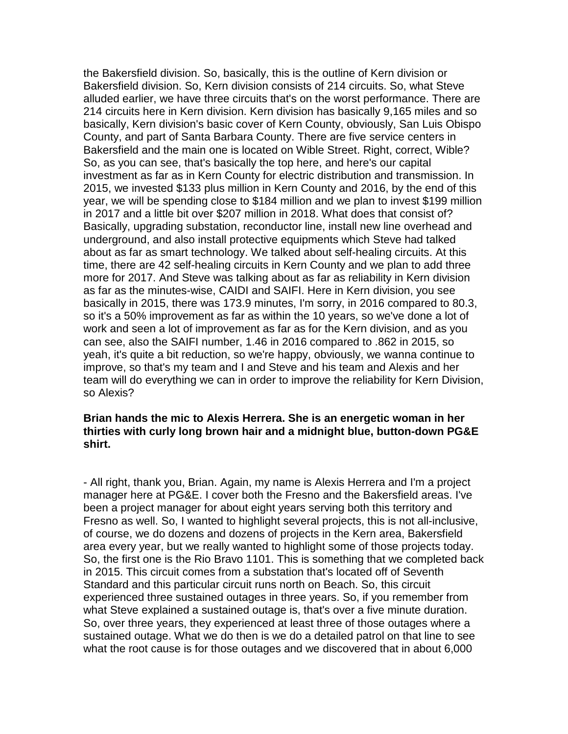the Bakersfield division. So, basically, this is the outline of Kern division or Bakersfield division. So, Kern division consists of 214 circuits. So, what Steve alluded earlier, we have three circuits that's on the worst performance. There are 214 circuits here in Kern division. Kern division has basically 9,165 miles and so basically, Kern division's basic cover of Kern County, obviously, San Luis Obispo County, and part of Santa Barbara County. There are five service centers in Bakersfield and the main one is located on Wible Street. Right, correct, Wible? So, as you can see, that's basically the top here, and here's our capital investment as far as in Kern County for electric distribution and transmission. In 2015, we invested \$133 plus million in Kern County and 2016, by the end of this year, we will be spending close to \$184 million and we plan to invest \$199 million in 2017 and a little bit over \$207 million in 2018. What does that consist of? Basically, upgrading substation, reconductor line, install new line overhead and underground, and also install protective equipments which Steve had talked about as far as smart technology. We talked about self-healing circuits. At this time, there are 42 self-healing circuits in Kern County and we plan to add three more for 2017. And Steve was talking about as far as reliability in Kern division as far as the minutes-wise, CAIDI and SAIFI. Here in Kern division, you see basically in 2015, there was 173.9 minutes, I'm sorry, in 2016 compared to 80.3, so it's a 50% improvement as far as within the 10 years, so we've done a lot of work and seen a lot of improvement as far as for the Kern division, and as you can see, also the SAIFI number, 1.46 in 2016 compared to .862 in 2015, so yeah, it's quite a bit reduction, so we're happy, obviously, we wanna continue to improve, so that's my team and I and Steve and his team and Alexis and her team will do everything we can in order to improve the reliability for Kern Division, so Alexis?

#### **Brian hands the mic to Alexis Herrera. She is an energetic woman in her thirties with curly long brown hair and a midnight blue, button-down PG&E shirt.**

- All right, thank you, Brian. Again, my name is Alexis Herrera and I'm a project manager here at PG&E. I cover both the Fresno and the Bakersfield areas. I've been a project manager for about eight years serving both this territory and Fresno as well. So, I wanted to highlight several projects, this is not all-inclusive, of course, we do dozens and dozens of projects in the Kern area, Bakersfield area every year, but we really wanted to highlight some of those projects today. So, the first one is the Rio Bravo 1101. This is something that we completed back in 2015. This circuit comes from a substation that's located off of Seventh Standard and this particular circuit runs north on Beach. So, this circuit experienced three sustained outages in three years. So, if you remember from what Steve explained a sustained outage is, that's over a five minute duration. So, over three years, they experienced at least three of those outages where a sustained outage. What we do then is we do a detailed patrol on that line to see what the root cause is for those outages and we discovered that in about 6,000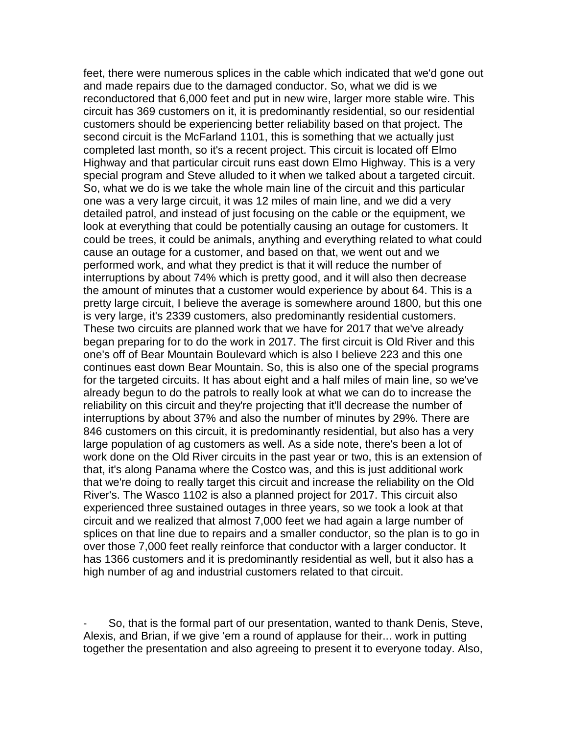feet, there were numerous splices in the cable which indicated that we'd gone out and made repairs due to the damaged conductor. So, what we did is we reconductored that 6,000 feet and put in new wire, larger more stable wire. This circuit has 369 customers on it, it is predominantly residential, so our residential customers should be experiencing better reliability based on that project. The second circuit is the McFarland 1101, this is something that we actually just completed last month, so it's a recent project. This circuit is located off Elmo Highway and that particular circuit runs east down Elmo Highway. This is a very special program and Steve alluded to it when we talked about a targeted circuit. So, what we do is we take the whole main line of the circuit and this particular one was a very large circuit, it was 12 miles of main line, and we did a very detailed patrol, and instead of just focusing on the cable or the equipment, we look at everything that could be potentially causing an outage for customers. It could be trees, it could be animals, anything and everything related to what could cause an outage for a customer, and based on that, we went out and we performed work, and what they predict is that it will reduce the number of interruptions by about 74% which is pretty good, and it will also then decrease the amount of minutes that a customer would experience by about 64. This is a pretty large circuit, I believe the average is somewhere around 1800, but this one is very large, it's 2339 customers, also predominantly residential customers. These two circuits are planned work that we have for 2017 that we've already began preparing for to do the work in 2017. The first circuit is Old River and this one's off of Bear Mountain Boulevard which is also I believe 223 and this one continues east down Bear Mountain. So, this is also one of the special programs for the targeted circuits. It has about eight and a half miles of main line, so we've already begun to do the patrols to really look at what we can do to increase the reliability on this circuit and they're projecting that it'll decrease the number of interruptions by about 37% and also the number of minutes by 29%. There are 846 customers on this circuit, it is predominantly residential, but also has a very large population of ag customers as well. As a side note, there's been a lot of work done on the Old River circuits in the past year or two, this is an extension of that, it's along Panama where the Costco was, and this is just additional work that we're doing to really target this circuit and increase the reliability on the Old River's. The Wasco 1102 is also a planned project for 2017. This circuit also experienced three sustained outages in three years, so we took a look at that circuit and we realized that almost 7,000 feet we had again a large number of splices on that line due to repairs and a smaller conductor, so the plan is to go in over those 7,000 feet really reinforce that conductor with a larger conductor. It has 1366 customers and it is predominantly residential as well, but it also has a high number of ag and industrial customers related to that circuit.

So, that is the formal part of our presentation, wanted to thank Denis, Steve, Alexis, and Brian, if we give 'em a round of applause for their... work in putting together the presentation and also agreeing to present it to everyone today. Also,